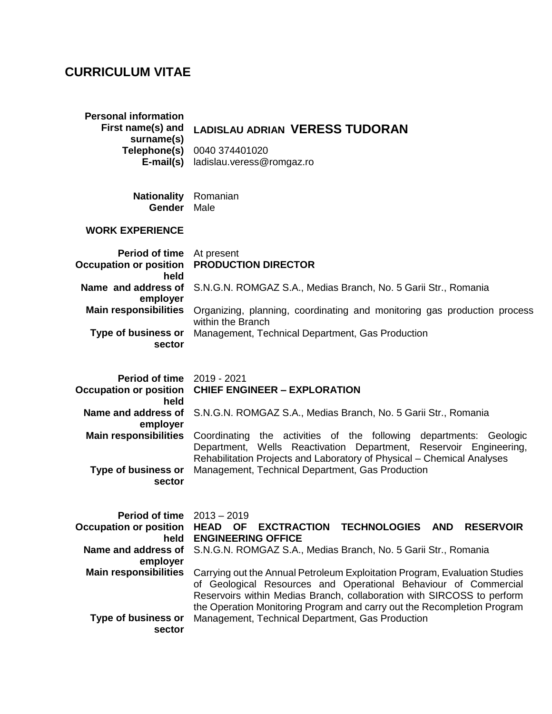## **CURRICULUM VITAE**

| <b>Personal information</b><br>First name(s) and<br>surname(s)<br>Telephone(s)<br>$E$ -mail(s) | <b>LADISLAU ADRIAN VERESS TUDORAN</b><br>0040 374401020<br>ladislau.veress@romgaz.ro                                                                                                                                    |
|------------------------------------------------------------------------------------------------|-------------------------------------------------------------------------------------------------------------------------------------------------------------------------------------------------------------------------|
| <b>Nationality</b><br>Gender                                                                   | Romanian<br>Male                                                                                                                                                                                                        |
| <b>WORK EXPERIENCE</b>                                                                         |                                                                                                                                                                                                                         |
| <b>Period of time</b><br><b>Occupation or position</b><br>held                                 | At present<br><b>PRODUCTION DIRECTOR</b>                                                                                                                                                                                |
| Name and address of                                                                            | S.N.G.N. ROMGAZ S.A., Medias Branch, No. 5 Garii Str., Romania                                                                                                                                                          |
| employer<br><b>Main responsibilities</b>                                                       | Organizing, planning, coordinating and monitoring gas production process                                                                                                                                                |
| Type of business or<br>sector                                                                  | within the Branch<br>Management, Technical Department, Gas Production                                                                                                                                                   |
| <b>Period of time</b><br><b>Occupation or position</b><br>held                                 | 2019 - 2021<br><b>CHIEF ENGINEER - EXPLORATION</b>                                                                                                                                                                      |
| Name and address of                                                                            | S.N.G.N. ROMGAZ S.A., Medias Branch, No. 5 Garii Str., Romania                                                                                                                                                          |
| employer<br><b>Main responsibilities</b>                                                       | Coordinating the activities of the following departments: Geologic<br>Department, Wells Reactivation Department, Reservoir Engineering,<br>Rehabilitation Projects and Laboratory of Physical - Chemical Analyses       |
| <b>Type of business or</b><br>sector                                                           | Management, Technical Department, Gas Production                                                                                                                                                                        |
| <b>Period of time</b><br><b>Occupation or position</b><br>held                                 | $2013 - 2019$<br><b>HEAD</b><br><b>OF</b><br><b>EXCTRACTION</b><br>TECHNOLOGIES AND<br><b>RESERVOIR</b><br><b>ENGINEERING OFFICE</b>                                                                                    |
| Name and address of<br>employer                                                                | S.N.G.N. ROMGAZ S.A., Medias Branch, No. 5 Garii Str., Romania                                                                                                                                                          |
| <b>Main responsibilities</b>                                                                   | Carrying out the Annual Petroleum Exploitation Program, Evaluation Studies<br>of Geological Resources and Operational Behaviour of Commercial<br>Reservoirs within Medias Branch, collaboration with SIRCOSS to perform |
| <b>Type of business or</b><br>sector                                                           | the Operation Monitoring Program and carry out the Recompletion Program<br>Management, Technical Department, Gas Production                                                                                             |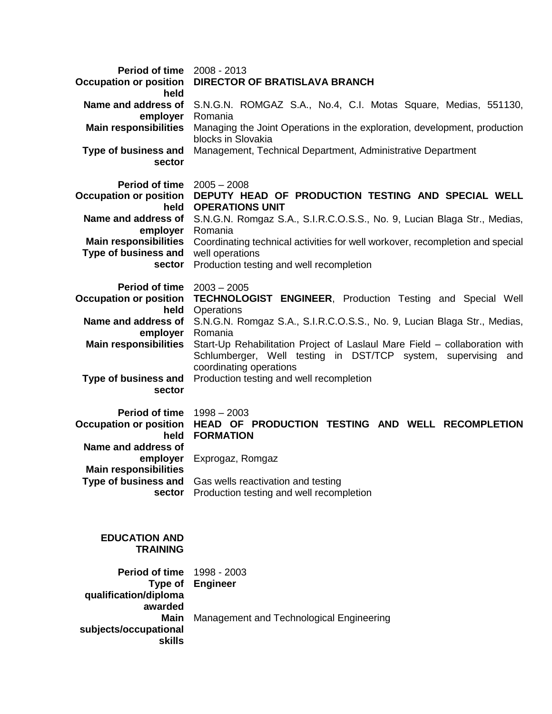| <b>Period of time</b> 2008 - 2013<br><b>Occupation or position</b><br>held                                                                                                          | <b>DIRECTOR OF BRATISLAVA BRANCH</b>                                                                                                                                                                                                                                                                                                                                                                         |  |
|-------------------------------------------------------------------------------------------------------------------------------------------------------------------------------------|--------------------------------------------------------------------------------------------------------------------------------------------------------------------------------------------------------------------------------------------------------------------------------------------------------------------------------------------------------------------------------------------------------------|--|
| Name and address of<br>employer<br><b>Main responsibilities</b>                                                                                                                     | S.N.G.N. ROMGAZ S.A., No.4, C.I. Motas Square, Medias, 551130,<br>Romania<br>Managing the Joint Operations in the exploration, development, production<br>blocks in Slovakia<br>Management, Technical Department, Administrative Department                                                                                                                                                                  |  |
| Type of business and<br>sector                                                                                                                                                      |                                                                                                                                                                                                                                                                                                                                                                                                              |  |
| <b>Period of time</b><br><b>Occupation or position</b><br>held<br>Name and address of<br>employer<br><b>Main responsibilities</b><br>Type of business and well operations<br>sector | $2005 - 2008$<br>DEPUTY HEAD OF PRODUCTION TESTING AND SPECIAL WELL<br><b>OPERATIONS UNIT</b><br>S.N.G.N. Romgaz S.A., S.I.R.C.O.S.S., No. 9, Lucian Blaga Str., Medias,<br>Romania<br>Coordinating technical activities for well workover, recompletion and special<br>Production testing and well recompletion                                                                                             |  |
| <b>Period of time</b><br><b>Occupation or position</b><br>held<br>Name and address of<br>employer<br><b>Main responsibilities</b><br>Type of business and<br>sector                 | $2003 - 2005$<br><b>TECHNOLOGIST ENGINEER, Production Testing and Special Well</b><br>Operations<br>S.N.G.N. Romgaz S.A., S.I.R.C.O.S.S., No. 9, Lucian Blaga Str., Medias,<br>Romania<br>Start-Up Rehabilitation Project of Laslaul Mare Field – collaboration with<br>Schlumberger, Well testing in DST/TCP system, supervising and<br>coordinating operations<br>Production testing and well recompletion |  |
| <b>Period of time</b><br><b>Occupation or position</b><br>held<br>Name and address of<br>employer<br><b>Main responsibilities</b><br><b>Type of business and</b><br>sector          | $1998 - 2003$<br>HEAD OF PRODUCTION TESTING AND WELL RECOMPLETION<br><b>FORMATION</b><br>Exprogaz, Romgaz<br>Gas wells reactivation and testing<br>Production testing and well recompletion                                                                                                                                                                                                                  |  |
| <b>EDUCATION AND</b><br><b>TRAINING</b>                                                                                                                                             |                                                                                                                                                                                                                                                                                                                                                                                                              |  |
| <b>Period of time</b><br>Type of<br>qualification/diploma<br>awarded                                                                                                                | 1998 - 2003<br><b>Engineer</b>                                                                                                                                                                                                                                                                                                                                                                               |  |
| <b>Main</b><br>subjects/occupational<br><b>skills</b>                                                                                                                               | Management and Technological Engineering                                                                                                                                                                                                                                                                                                                                                                     |  |